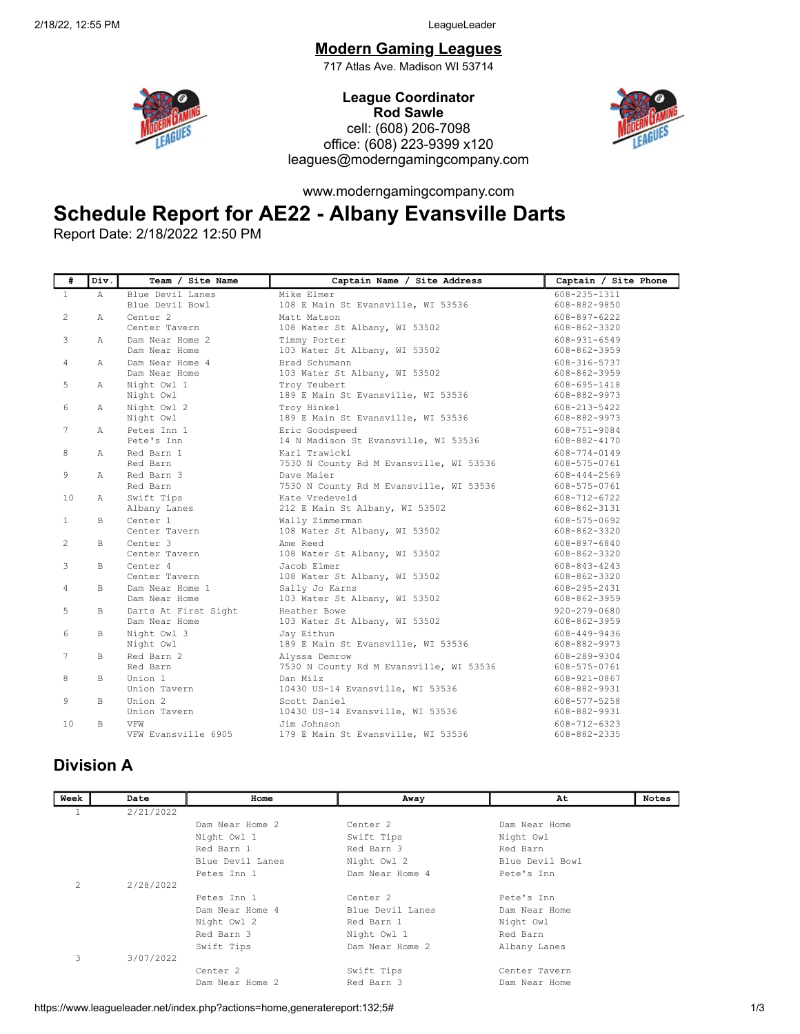## Modern Gaming Leagues

717 Atlas Ave. Madison WI 53714



League Coordinator Rod Sawle cell: (608) 206-7098 office: (608) 223-9399 x120 leagues@moderngamingcompany.com



www.moderngamingcompany.com

## Schedule Report for AE22 - Albany Evansville Darts

Report Date: 2/18/2022 12:50 PM

| #            | Div.         | Team / Site Name     | Captain Name / Site Address             | Captain / Site Phone |
|--------------|--------------|----------------------|-----------------------------------------|----------------------|
| $\mathbf{1}$ | $\mathbb{A}$ | Blue Devil Lanes     | Mike Elmer                              | $608 - 235 - 1311$   |
|              |              | Blue Devil Bowl      | 108 E Main St Evansville, WI 53536      | 608-882-9850         |
| 2            | A            | Center <sub>2</sub>  | Matt Matson                             | 608-897-6222         |
|              |              | Center Tavern        | 108 Water St Albany, WI 53502           | 608-862-3320         |
| 3            | $\mathbb{A}$ | Dam Near Home 2      | Timmy Porter                            | 608-931-6549         |
|              |              | Dam Near Home        | 103 Water St Albany, WI 53502           | 608-862-3959         |
| 4            | Α            | Dam Near Home 4      | Brad Schumann                           | 608-316-5737         |
|              |              | Dam Near Home        | 103 Water St Albany, WI 53502           | 608-862-3959         |
| 5            | $\mathbb{A}$ | Night Owl 1          | Troy Teubert                            | 608-695-1418         |
|              |              | Night Owl            | 189 E Main St Evansville, WI 53536      | 608-882-9973         |
| 6            | A            | Night Owl 2          | Troy Hinkel                             | 608-213-5422         |
|              |              | Night Owl            | 189 E Main St Evansville, WI 53536      | 608-882-9973         |
| 7            | Α            | Petes Inn 1          | Eric Goodspeed                          | 608-751-9084         |
|              |              | Pete's Inn           | 14 N Madison St Evansville, WI 53536    | $608 - 882 - 4170$   |
| 8            | $\mathbb{A}$ | Red Barn 1           | Karl Trawicki                           | 608-774-0149         |
|              |              | Red Barn             | 7530 N County Rd M Evansville, WI 53536 | 608-575-0761         |
| 9            | $\mathbb{A}$ | Red Barn 3           | Dave Maier                              | 608-444-2569         |
|              |              | Red Barn             | 7530 N County Rd M Evansville, WI 53536 | 608-575-0761         |
| 10           | $\mathbb{A}$ | Swift Tips           | Kate Vredeveld                          | 608-712-6722         |
|              |              | Albany Lanes         | 212 E Main St Albany, WI 53502          | 608-862-3131         |
| $\mathbf{1}$ | B.           | Center <sub>1</sub>  | Wally Zimmerman                         | 608-575-0692         |
|              |              | Center Tavern        | 108 Water St Albany, WI 53502           | 608-862-3320         |
| 2            | B.           | Center <sub>3</sub>  | Ame Reed                                | 608-897-6840         |
|              |              | Center Tavern        | 108 Water St Albany, WI 53502           | $608 - 862 - 3320$   |
| 3            | $\mathbb{R}$ | Center 4             | Jacob Elmer                             | $608 - 843 - 4243$   |
|              |              | Center Tavern        | 108 Water St Albany, WI 53502           | 608-862-3320         |
| 4            | $\mathbb{B}$ | Dam Near Home 1      | Sally Jo Karns                          | 608-295-2431         |
|              |              | Dam Near Home        | 103 Water St Albany, WI 53502           | 608-862-3959         |
| 5            | B            | Darts At First Sight | Heather Bowe                            | $920 - 279 - 0680$   |
|              |              | Dam Near Home        | 103 Water St Albany, WI 53502           | 608-862-3959         |
| 6            | $\mathbb{B}$ | Night Owl 3          | Jay Eithun                              | 608-449-9436         |
|              |              | Night Owl            | 189 E Main St Evansville, WI 53536      | 608-882-9973         |
| 7            | $\mathbb{B}$ | Red Barn 2           | Alvssa Demrow                           | 608-289-9304         |
|              |              | Red Barn             | 7530 N County Rd M Evansville, WI 53536 | 608-575-0761         |
| 8            | B.           | Union 1              | Dan Milz                                | 608-921-0867         |
|              |              | Union Tavern         | 10430 US-14 Evansville, WI 53536        | 608-882-9931         |
| 9            | B            | Union 2              | Scott Daniel                            | $608 - 577 - 5258$   |
|              |              | Union Tavern         | 10430 US-14 Evansville, WI 53536        | 608-882-9931         |
| 10           | B.           | VFW                  | Jim Johnson                             | $608 - 712 - 6323$   |
|              |              | VFW Evansville 6905  | 179 E Main St Evansville, WI 53536      | 608-882-2335         |

## Division A

| Week | Date      | Home                | Away                | At              | <b>Notes</b> |
|------|-----------|---------------------|---------------------|-----------------|--------------|
|      | 2/21/2022 |                     |                     |                 |              |
|      |           | Dam Near Home 2     | Center <sub>2</sub> | Dam Near Home   |              |
|      |           | Night Owl 1         | Swift Tips          | Night Owl       |              |
|      |           | Red Barn 1          | Red Barn 3          | Red Barn        |              |
|      |           | Blue Devil Lanes    | Night Owl 2         | Blue Devil Bowl |              |
|      |           | Petes Inn 1         | Dam Near Home 4     | Pete's Inn      |              |
| 2    | 2/28/2022 |                     |                     |                 |              |
|      |           | Petes Inn 1         | Center <sub>2</sub> | Pete's Inn      |              |
|      |           | Dam Near Home 4     | Blue Devil Lanes    | Dam Near Home   |              |
|      |           | Night Owl 2         | Red Barn 1          | Night Owl       |              |
|      |           | Red Barn 3          | Night Owl 1         | Red Barn        |              |
|      |           | Swift Tips          | Dam Near Home 2     | Albany Lanes    |              |
| 3    | 3/07/2022 |                     |                     |                 |              |
|      |           | Center <sub>2</sub> | Swift Tips          | Center Tavern   |              |
|      |           | Dam Near Home 2     | Red Barn 3          | Dam Near Home   |              |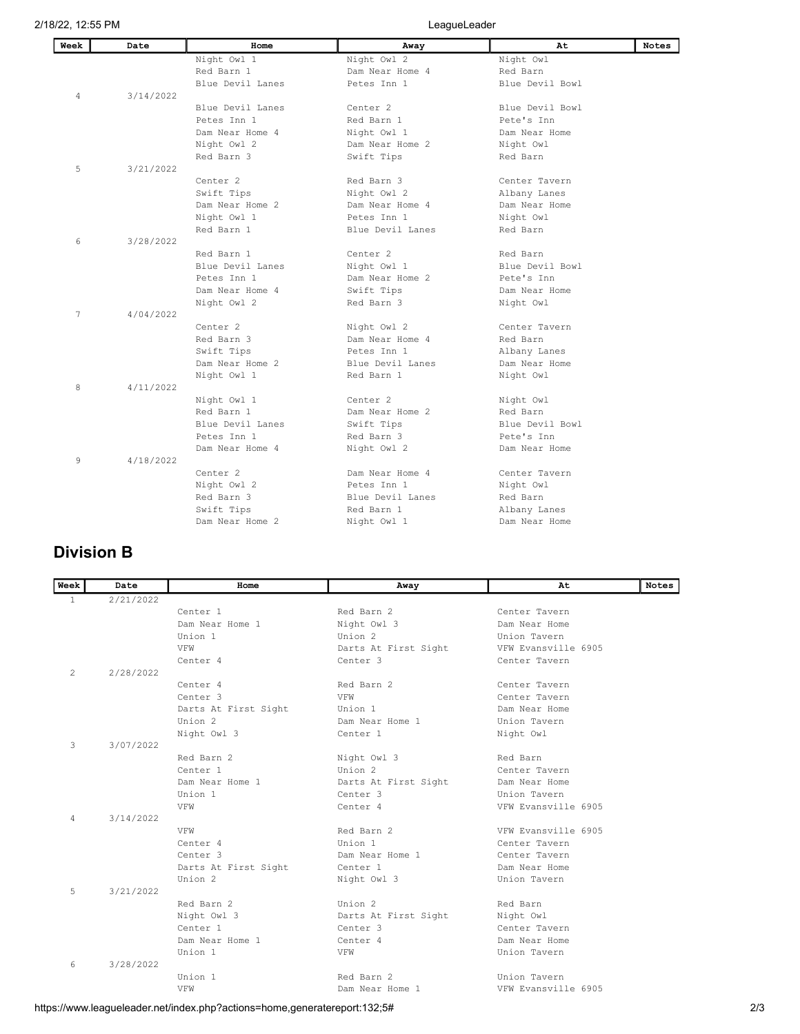| Week | Date      | Home                | Away                | At              | <b>Notes</b> |
|------|-----------|---------------------|---------------------|-----------------|--------------|
|      |           | Night Owl 1         | Night Owl 2         | Night Owl       |              |
|      |           | Red Barn 1          | Dam Near Home 4     | Red Barn        |              |
|      |           | Blue Devil Lanes    | Petes Inn 1         | Blue Devil Bowl |              |
| 4    | 3/14/2022 |                     |                     |                 |              |
|      |           | Blue Devil Lanes    | Center <sub>2</sub> | Blue Devil Bowl |              |
|      |           | Petes Inn 1         | Red Barn 1          | Pete's Inn      |              |
|      |           | Dam Near Home 4     | Night Owl 1         | Dam Near Home   |              |
|      |           | Night Owl 2         | Dam Near Home 2     | Night Owl       |              |
|      |           | Red Barn 3          | Swift Tips          | Red Barn        |              |
| 5    | 3/21/2022 |                     |                     |                 |              |
|      |           | Center <sub>2</sub> | Red Barn 3          | Center Tavern   |              |
|      |           | Swift Tips          | Night Owl 2         | Albany Lanes    |              |
|      |           | Dam Near Home 2     | Dam Near Home 4     | Dam Near Home   |              |
|      |           | Night Owl 1         | Petes Inn 1         | Night Owl       |              |
|      |           | Red Barn 1          | Blue Devil Lanes    | Red Barn        |              |
| 6    | 3/28/2022 |                     |                     |                 |              |
|      |           | Red Barn 1          | Center <sub>2</sub> | Red Barn        |              |
|      |           | Blue Devil Lanes    | Night Owl 1         | Blue Devil Bowl |              |
|      |           | Petes Tnn 1         | Dam Near Home 2     | Pete's Inn      |              |
|      |           | Dam Near Home 4     | Swift Tips          | Dam Near Home   |              |
|      |           | Night Owl 2         | Red Barn 3          | Night Owl       |              |
| 7    | 4/04/2022 |                     |                     |                 |              |
|      |           | Center <sub>2</sub> | Night Owl 2         | Center Tavern   |              |
|      |           | Red Barn 3          | Dam Near Home 4     | Red Barn        |              |
|      |           | Swift Tips          | Petes Inn 1         | Albany Lanes    |              |
|      |           | Dam Near Home 2     | Blue Devil Lanes    | Dam Near Home   |              |
|      |           | Night Owl 1         | Red Barn 1          | Night Owl       |              |
| 8    | 4/11/2022 |                     |                     |                 |              |
|      |           | Night Owl 1         | Center <sub>2</sub> | Night Owl       |              |
|      |           | Red Barn 1          | Dam Near Home 2     | Red Barn        |              |
|      |           | Blue Devil Lanes    | Swift Tips          | Blue Devil Bowl |              |
|      |           | Petes Inn 1         | Red Barn 3          | Pete's Inn      |              |
|      |           | Dam Near Home 4     | Night Owl 2         | Dam Near Home   |              |
| 9    | 4/18/2022 |                     |                     |                 |              |
|      |           | Center <sub>2</sub> | Dam Near Home 4     | Center Tavern   |              |
|      |           | Night Owl 2         | Petes Inn 1         | Night Owl       |              |
|      |           | Red Barn 3          | Blue Devil Lanes    | Red Barn        |              |
|      |           | Swift Tips          | Red Barn 1          | Albany Lanes    |              |
|      |           | Dam Near Home 2     | Night Owl 1         | Dam Near Home   |              |
|      |           |                     |                     |                 |              |

## Division B

| Week           | Date      | Home                 | Away                 | At                  | <b>Notes</b> |
|----------------|-----------|----------------------|----------------------|---------------------|--------------|
| $\mathbf{1}$   | 2/21/2022 |                      |                      |                     |              |
|                |           | Center <sub>1</sub>  | Red Barn 2           | Center Tavern       |              |
|                |           | Dam Near Home 1      | Night Owl 3          | Dam Near Home       |              |
|                |           | Union 1              | Union <sub>2</sub>   | Union Tavern        |              |
|                |           | VFW                  | Darts At First Sight | VFW Evansville 6905 |              |
|                |           | Center <sub>4</sub>  | Center <sub>3</sub>  | Center Tavern       |              |
| $\overline{2}$ | 2/28/2022 |                      |                      |                     |              |
|                |           | Center <sub>4</sub>  | Red Barn 2           | Center Tavern       |              |
|                |           | Center <sub>3</sub>  | VFW                  | Center Tavern       |              |
|                |           | Darts At First Sight | Union 1              | Dam Near Home       |              |
|                |           | Union 2              | Dam Near Home 1      | Union Tavern        |              |
|                |           | Night Owl 3          | Center <sub>1</sub>  | Night Owl           |              |
| 3              | 3/07/2022 |                      |                      |                     |              |
|                |           | Red Barn 2           | Night Owl 3          | Red Barn            |              |
|                |           | Center <sub>1</sub>  | Union 2              | Center Tavern       |              |
|                |           | Dam Near Home 1      | Darts At First Sight | Dam Near Home       |              |
|                |           | Union 1              | Center <sub>3</sub>  | Union Tavern        |              |
|                |           | VFW                  | Center <sub>4</sub>  | VFW Evansville 6905 |              |
| 4              | 3/14/2022 |                      |                      |                     |              |
|                |           | VFW                  | Red Barn 2           | VFW Evansville 6905 |              |
|                |           | Center <sub>4</sub>  | Union 1              | Center Tavern       |              |
|                |           | Center <sub>3</sub>  | Dam Near Home 1      | Center Tavern       |              |
|                |           | Darts At First Sight | Center 1             | Dam Near Home       |              |
|                |           | Union 2              | Night Owl 3          | Union Tavern        |              |
| 5              | 3/21/2022 |                      |                      |                     |              |
|                |           | Red Barn 2           | Union 2              | Red Barn            |              |
|                |           | Night Owl 3          | Darts At First Sight | Night Owl           |              |
|                |           | Center <sub>1</sub>  | Center <sub>3</sub>  | Center Tavern       |              |
|                |           | Dam Near Home 1      | Center <sub>4</sub>  | Dam Near Home       |              |
|                |           | Union 1              | VFW                  | Union Tavern        |              |
| 6              | 3/28/2022 |                      |                      |                     |              |
|                |           | Union 1              | Red Barn 2           | Union Tavern        |              |
|                |           | VFW                  | Dam Near Home 1      | VFW Evansville 6905 |              |